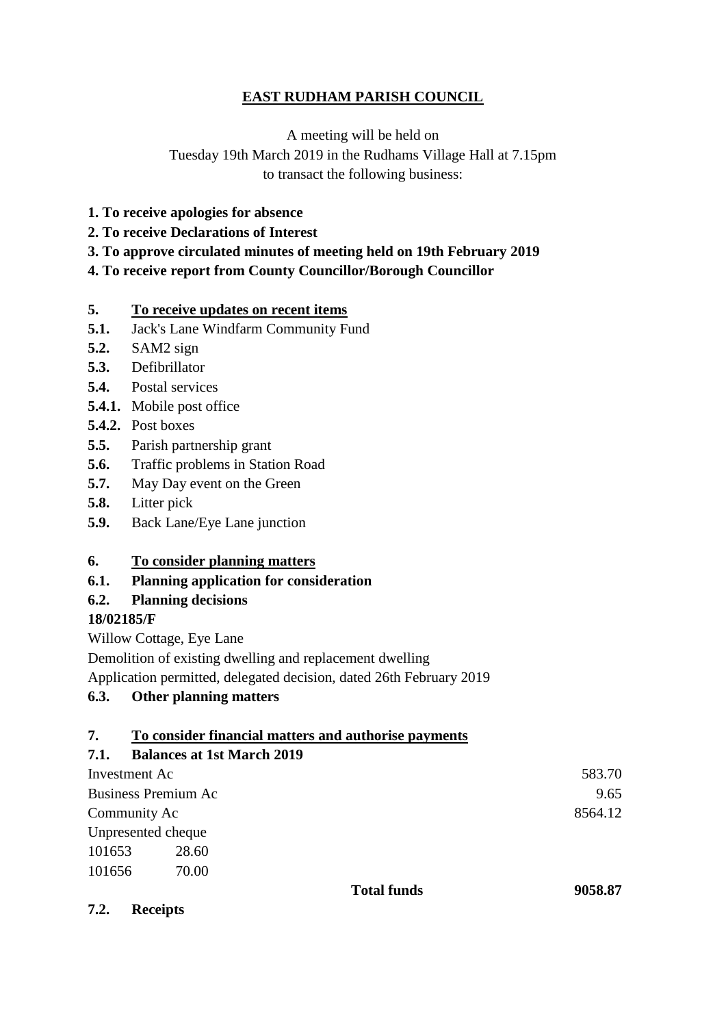# **EAST RUDHAM PARISH COUNCIL**

A meeting will be held on

# Tuesday 19th March 2019 in the Rudhams Village Hall at 7.15pm to transact the following business:

- **1. To receive apologies for absence**
- **2. To receive Declarations of Interest**
- **3. To approve circulated minutes of meeting held on 19th February 2019**
- **4. To receive report from County Councillor/Borough Councillor**

#### **5. To receive updates on recent items**

- **5.1.** Jack's Lane Windfarm Community Fund
- **5.2.** SAM2 sign
- **5.3.** Defibrillator
- **5.4.** Postal services
- **5.4.1.** Mobile post office
- **5.4.2.** Post boxes
- **5.5.** Parish partnership grant
- **5.6.** Traffic problems in Station Road
- **5.7.** May Day event on the Green
- **5.8.** Litter pick
- **5.9.** Back Lane/Eye Lane junction

#### **6. To consider planning matters**

- **6.1. Planning application for consideration**
- **6.2. Planning decisions**

# **18/02185/F**

Willow Cottage, Eye Lane

Demolition of existing dwelling and replacement dwelling

Application permitted, delegated decision, dated 26th February 2019

# **6.3. Other planning matters**

# **7. To consider financial matters and authorise payments**

#### **7.1. Balances at 1st March 2019**

| Investment Ac       |       |                    | 583.70  |
|---------------------|-------|--------------------|---------|
| Business Premium Ac | 9.65  |                    |         |
| Community Ac        |       |                    | 8564.12 |
| Unpresented cheque  |       |                    |         |
| 101653              | 28.60 |                    |         |
| 101656              | 70.00 |                    |         |
|                     |       | <b>Total funds</b> | 9058.87 |

**7.2. Receipts**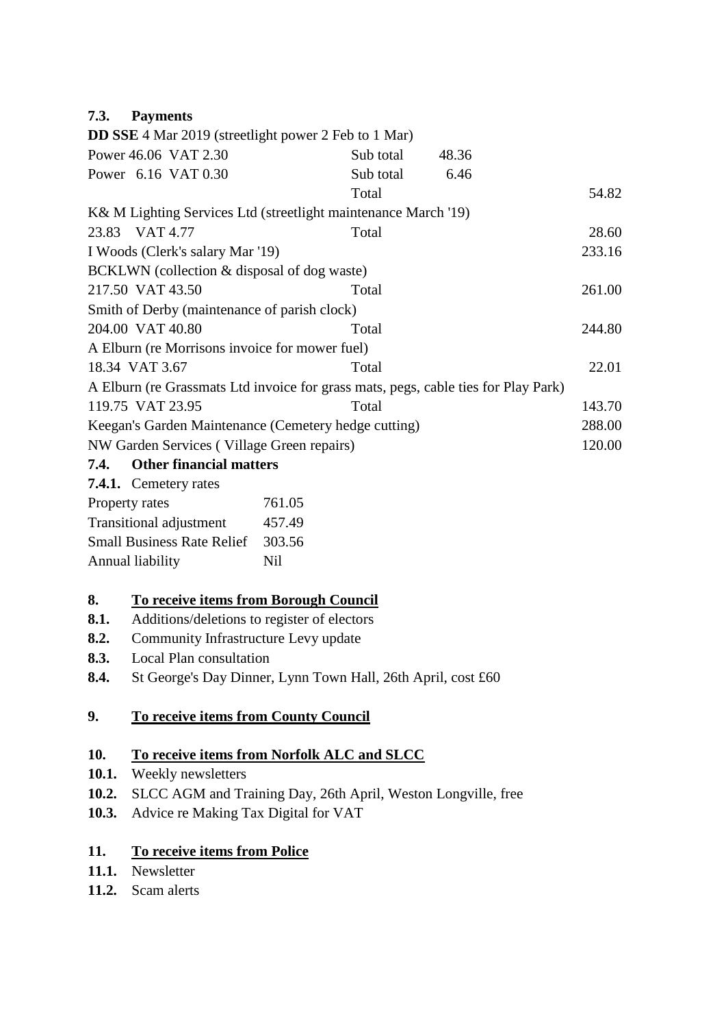# **7.3. Payments**

| <b>DD SSE</b> 4 Mar 2019 (streetlight power 2 Feb to 1 Mar)                        |           |       |        |  |
|------------------------------------------------------------------------------------|-----------|-------|--------|--|
| Power 46.06 VAT 2.30                                                               | Sub total | 48.36 |        |  |
| Power 6.16 VAT 0.30                                                                | Sub total | 6.46  |        |  |
|                                                                                    | Total     |       | 54.82  |  |
| K& M Lighting Services Ltd (streetlight maintenance March '19)                     |           |       |        |  |
| 23.83 VAT 4.77                                                                     | Total     |       | 28.60  |  |
| I Woods (Clerk's salary Mar '19)                                                   |           |       | 233.16 |  |
| BCKLWN (collection & disposal of dog waste)                                        |           |       |        |  |
| 217.50 VAT 43.50                                                                   | Total     |       | 261.00 |  |
| Smith of Derby (maintenance of parish clock)                                       |           |       |        |  |
| 204.00 VAT 40.80                                                                   | Total     |       | 244.80 |  |
| A Elburn (re Morrisons invoice for mower fuel)                                     |           |       |        |  |
| 18.34 VAT 3.67                                                                     | Total     |       | 22.01  |  |
| A Elburn (re Grassmats Ltd invoice for grass mats, pegs, cable ties for Play Park) |           |       |        |  |
| 119.75 VAT 23.95                                                                   | Total     |       | 143.70 |  |
| Keegan's Garden Maintenance (Cemetery hedge cutting)                               |           |       |        |  |
| NW Garden Services (Village Green repairs)                                         |           |       |        |  |
| <b>7.4.</b> Other financial matters                                                |           |       |        |  |

**7.4.1.** Cemetery rates

| 761.05 |
|--------|
| 457.49 |
| 303.56 |
| Nil    |
|        |

# **8. To receive items from Borough Council**

- **8.1.** Additions/deletions to register of electors
- **8.2.** Community Infrastructure Levy update
- **8.3.** Local Plan consultation
- **8.4.** St George's Day Dinner, Lynn Town Hall, 26th April, cost £60

### **9. To receive items from County Council**

#### **10. To receive items from Norfolk ALC and SLCC**

- **10.1.** Weekly newsletters
- **10.2.** SLCC AGM and Training Day, 26th April, Weston Longville, free
- **10.3.** Advice re Making Tax Digital for VAT

# **11. To receive items from Police**

- **11.1.** Newsletter
- **11.2.** Scam alerts